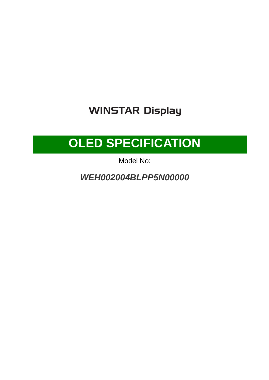## **WINSTAR Display**

## **OLED SPECIFICATION**

Model No:

**WEH002004BLPP5N00000**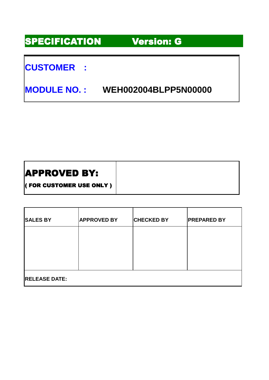### SPECIFICATION Version:G

### **CUSTOMER :**

**MODULE NO. : WEH002004BLPP5N00000** 

### APPROVED BY:

( FOR CUSTOMER USE ONLY )

| <b>SALES BY</b>      | <b>APPROVED BY</b> | <b>CHECKED BY</b> | <b>PREPARED BY</b> |  |  |  |  |
|----------------------|--------------------|-------------------|--------------------|--|--|--|--|
|                      |                    |                   |                    |  |  |  |  |
|                      |                    |                   |                    |  |  |  |  |
| <b>RELEASE DATE:</b> |                    |                   |                    |  |  |  |  |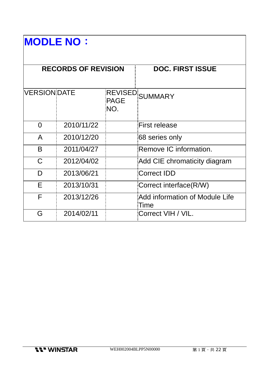# **MODLE NO**:

|                     | <b>RECORDS OF REVISION</b> |                    | <b>DOC. FIRST ISSUE</b>                |
|---------------------|----------------------------|--------------------|----------------------------------------|
|                     |                            |                    |                                        |
| <b>VERSION DATE</b> |                            | <b>PAGE</b><br>NO. | REVISED SUMMARY                        |
| 0                   | 2010/11/22                 |                    | <b>First release</b>                   |
| A                   | 2010/12/20                 |                    | 68 series only                         |
| B                   | 2011/04/27                 |                    | Remove IC information.                 |
| C                   | 2012/04/02                 |                    | Add CIE chromaticity diagram           |
| D                   | 2013/06/21                 |                    | Correct IDD                            |
| E                   | 2013/10/31                 |                    | Correct interface(R/W)                 |
| F                   | 2013/12/26                 |                    | Add information of Module Life<br>Time |
| G                   | 2014/02/11                 |                    | Correct VIH / VIL.                     |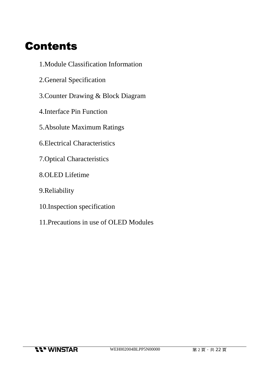## **Contents**

- 1.Module Classification Information
- 2.General Specification
- 3.Counter Drawing & Block Diagram
- 4.Interface Pin Function
- 5.Absolute Maximum Ratings
- 6.Electrical Characteristics
- 7.Optical Characteristics
- 8.OLED Lifetime
- 9.Reliability
- 10.Inspection specification
- 11.Precautions in use of OLED Modules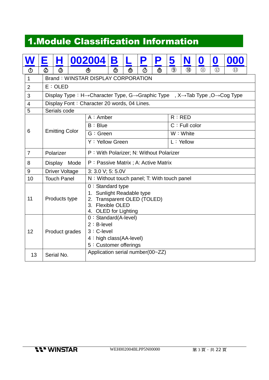## 1.Module Classification Information

|                | Ε       | н                                                                                                                              |      | 002004                                                                                                                     | B               |  |        | P | 5             |                  | 0   | $\boldsymbol{0}$ | 000               |  |
|----------------|---------|--------------------------------------------------------------------------------------------------------------------------------|------|----------------------------------------------------------------------------------------------------------------------------|-----------------|--|--------|---|---------------|------------------|-----|------------------|-------------------|--|
|                |         | ౷                                                                                                                              |      | ⊕                                                                                                                          | ౷               |  | $\Phi$ | ௹ | $\circled{9}$ | $\circledR$      | (1) | $\Omega$         | $\left( 1\right)$ |  |
| $\mathbf{1}$   |         |                                                                                                                                |      | <b>Brand: WINSTAR DISPLAY CORPORATION</b>                                                                                  |                 |  |        |   |               |                  |     |                  |                   |  |
| $\overline{2}$ | E: OLED |                                                                                                                                |      |                                                                                                                            |                 |  |        |   |               |                  |     |                  |                   |  |
| 3              |         | Display Type: H $\rightarrow$ Character Type, G $\rightarrow$ Graphic Type, X $\rightarrow$ Tab Type, O $\rightarrow$ Cog Type |      |                                                                                                                            |                 |  |        |   |               |                  |     |                  |                   |  |
| $\overline{4}$ |         |                                                                                                                                |      | Display Font: Character 20 words, 04 Lines.                                                                                |                 |  |        |   |               |                  |     |                  |                   |  |
| 5              |         | Serials code                                                                                                                   |      |                                                                                                                            |                 |  |        |   |               |                  |     |                  |                   |  |
|                |         |                                                                                                                                |      | $A:$ Amber                                                                                                                 |                 |  |        |   |               | R:RED            |     |                  |                   |  |
|                |         |                                                                                                                                |      | B : Blue                                                                                                                   |                 |  |        |   |               | $C :$ Full color |     |                  |                   |  |
| 6              |         | <b>Emitting Color</b>                                                                                                          |      | G: Green                                                                                                                   |                 |  |        |   |               | $W:$ White       |     |                  |                   |  |
|                |         |                                                                                                                                |      |                                                                                                                            | Y: Yellow Green |  |        |   |               | L: Yellow        |     |                  |                   |  |
| $\overline{7}$ |         | Polarizer                                                                                                                      |      | P: With Polarizer; N: Without Polarizer                                                                                    |                 |  |        |   |               |                  |     |                  |                   |  |
| 8              |         | <b>Display</b>                                                                                                                 | Mode | P: Passive Matrix; A: Active Matrix                                                                                        |                 |  |        |   |               |                  |     |                  |                   |  |
| 9              |         | <b>Driver Voltage</b>                                                                                                          |      | 3: 3.0 V; 5: 5.0V                                                                                                          |                 |  |        |   |               |                  |     |                  |                   |  |
| 10             |         | <b>Touch Panel</b>                                                                                                             |      | N: Without touch panel; T: With touch panel                                                                                |                 |  |        |   |               |                  |     |                  |                   |  |
| 11             |         | Products type                                                                                                                  |      | $0:$ Standard type<br>1. Sunlight Readable type<br>2. Transparent OLED (TOLED)<br>3. Flexible OLED<br>4. OLED for Lighting |                 |  |        |   |               |                  |     |                  |                   |  |
| 12             |         | Product grades                                                                                                                 |      | 0 : Standard(A-level)<br>$2 : B$ -level<br>3 : C-level<br>4 : high class(AA-level)<br>5 : Customer offerings               |                 |  |        |   |               |                  |     |                  |                   |  |
| 13             |         | Serial No.                                                                                                                     |      | Application serial number(00~ZZ)                                                                                           |                 |  |        |   |               |                  |     |                  |                   |  |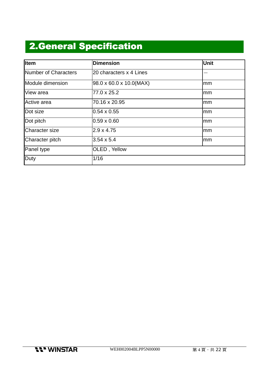## **2.General Specification**

| Item                 | <b>Dimension</b>                     | Unit |
|----------------------|--------------------------------------|------|
| Number of Characters | 20 characters x 4 Lines              |      |
| Module dimension     | $98.0 \times 60.0 \times 10.0$ (MAX) | lmm  |
| View area            | 77.0 x 25.2                          | lmm  |
| Active area          | 70.16 x 20.95                        | mm   |
| Dot size             | $0.54 \times 0.55$                   | mm   |
| Dot pitch            | $0.59 \times 0.60$                   | mm   |
| Character size       | $2.9 \times 4.75$                    | lmm  |
| Character pitch      | $3.54 \times 5.4$                    | mm   |
| Panel type           | <b>OLED, Yellow</b>                  |      |
| Duty                 | 1/16                                 |      |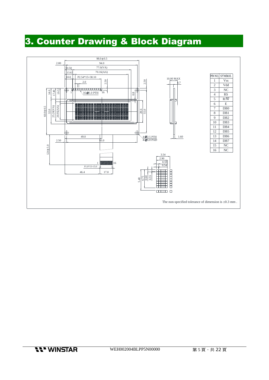### 3. Counter Drawing & Block Diagram

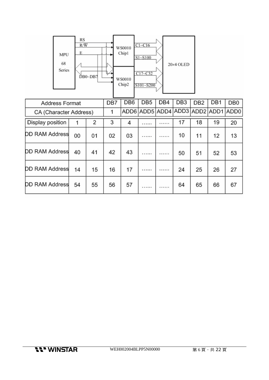

| <b>Address Format</b>  |    |    | DB7 | DB <sub>6</sub> | DB <sub>5</sub>                    | DB4     | DB <sub>3</sub> | DB <sub>2</sub> | DB1 | DB <sub>0</sub> |
|------------------------|----|----|-----|-----------------|------------------------------------|---------|-----------------|-----------------|-----|-----------------|
| CA (Character Address) |    |    |     |                 | ADD6 ADD5 ADD4 ADD3 ADD2 ADD1 ADD0 |         |                 |                 |     |                 |
| Display position       |    | 2  | 3   | 4               | .                                  |         | 17              | 18              | 19  | 20              |
| <b>DD RAM Address</b>  | 00 | 01 | 02  | 03              | 1.1.1.1                            | .       | 10              | 11              | 12  | 13              |
| <b>DD RAM Address</b>  | 40 | 41 | 42  | 43              | .                                  | .       | 50              | 51              | 52  | 53              |
| <b>DD RAM Address</b>  | 14 | 15 | 16  | 17              | 1.1.1.1.1                          | 1.1.001 | 24              | 25              | 26  | 27              |
| <b>DD RAM Address</b>  | 54 | 55 | 56  | 57              | $-11111$                           | .       | 64              | 65              | 66  | 67              |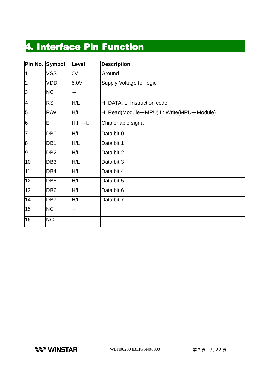## 4. Interface Pin Function

| Pin No.         | Symbol          | Level                | <b>Description</b>                       |
|-----------------|-----------------|----------------------|------------------------------------------|
| $\vert$ 1       | <b>VSS</b>      | 0V                   | Ground                                   |
| $\overline{2}$  | VDD             | 5.0V                 | Supply Voltage for logic                 |
| $\overline{3}$  | <b>NC</b>       |                      |                                          |
| $\overline{4}$  | <b>RS</b>       | H/L                  | H: DATA, L: Instruction code             |
| 5               | R/W             | H/L                  | H: Read(Module→MPU) L: Write(MPU→Module) |
| $\overline{6}$  | E               | $H, H \rightarrow L$ | Chip enable signal                       |
| 7               | DB <sub>0</sub> | H/L                  | Data bit 0                               |
| $\overline{8}$  | DB <sub>1</sub> | H/L                  | Data bit 1                               |
| 9               | DB <sub>2</sub> | H/L                  | Data bit 2                               |
| 10              | DB <sub>3</sub> | H/L                  | Data bit 3                               |
| $\overline{11}$ | DB4             | H/L                  | Data bit 4                               |
| 12              | DB <sub>5</sub> | H/L                  | Data bit 5                               |
| 13              | DB <sub>6</sub> | H/L                  | Data bit 6                               |
| 14              | DB7             | H/L                  | Data bit 7                               |
| 15              | <b>NC</b>       |                      |                                          |
| 16              | <b>NC</b>       |                      |                                          |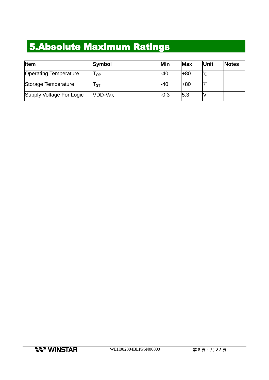## 5.Absolute Maximum Ratings

| <b>I</b> tem                 | <b>Symbol</b> | Min    | Max   | Unit | <b>Notes</b> |
|------------------------------|---------------|--------|-------|------|--------------|
| <b>Operating Temperature</b> | l OP          | $-40$  | $+80$ |      |              |
| Storage Temperature          | l st          | $-40$  | $+80$ |      |              |
| Supply Voltage For Logic     | $VDD-V_{SS}$  | $-0.3$ | 5.3   |      |              |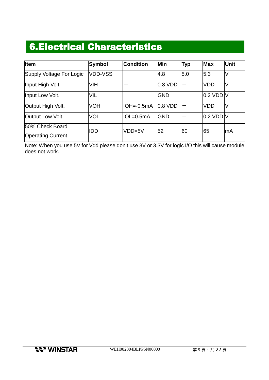### **6.Electrical Characteristics**

| <b>I</b> tem                                | Symbol         | <b>Condition</b> | Min                 | <b>Typ</b> | <b>Max</b> | <b>Unit</b> |
|---------------------------------------------|----------------|------------------|---------------------|------------|------------|-------------|
| Supply Voltage For Logic                    | <b>VDD-VSS</b> |                  | 4.8                 | 5.0        | 5.3        | lV          |
| Input High Volt.                            | <b>VIH</b>     |                  | $0.8$ VDD           |            | <b>VDD</b> | IV          |
| Input Low Volt.                             | VIL            |                  | <b>GND</b>          |            | 0.2 VDD V  |             |
| Output High Volt.                           | <b>VOH</b>     | IOH=-0.5mA       | $ 0.8 \text{ VDD} $ |            | <b>VDD</b> | V           |
| Output Low Volt.                            | <b>VOL</b>     | lIOL=0.5mA       | <b>IGND</b>         |            | 0.2 VDD V  |             |
| 50% Check Board<br><b>Operating Current</b> | IDD            | $VDD=5V$         | 52                  | 60         | 65         | lmA         |

Note: When you use 5V for Vdd please don't use 3V or 3.3V for logic I/O this will cause module does not work.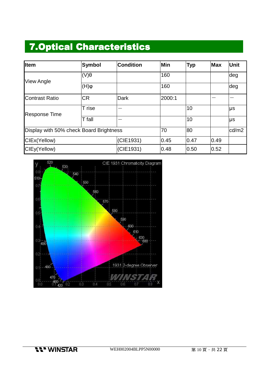### **7.Optical Characteristics**

| Item                                    | <b>Symbol</b>         | <b>Condition</b> | Min    | <b>Typ</b> | <b>Max</b>   | Unit  |
|-----------------------------------------|-----------------------|------------------|--------|------------|--------------|-------|
| <b>View Angle</b>                       | $(V)\theta$           |                  | 160    |            |              | deg   |
|                                         | $(\mathsf{H})\varphi$ |                  | 160    |            |              | deg   |
| Contrast Ratio                          | <b>CR</b>             | <b>Dark</b>      | 2000:1 |            |              |       |
| <b>Response Time</b>                    | T rise                |                  |        | 10         |              | μs    |
|                                         | T fall                |                  |        | 10         | 0.49<br>0.52 | μs    |
| Display with 50% check Board Brightness |                       |                  | 70     | 80         |              | cd/m2 |
| CIEx(Yellow)                            |                       | (CIE1931)        | 0.45   | 0.47       |              |       |
| CIEy(Yellow)                            |                       | (CIE1931)        | 0.48   | 0.50       |              |       |

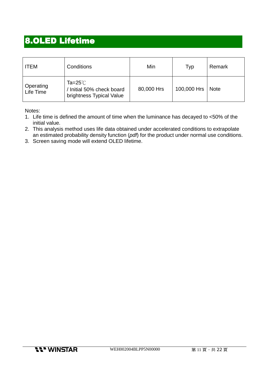### **8.OLED Lifetime**

| <b>ITEM</b>            | Conditions                                                                  | Min        | Typ         | Remark |
|------------------------|-----------------------------------------------------------------------------|------------|-------------|--------|
| Operating<br>Life Time | Ta=25 $^{\circ}$ C<br>/ Initial 50% check board<br>brightness Typical Value | 80,000 Hrs | 100,000 Hrs | Note   |

Notes:

- 1. Life time is defined the amount of time when the luminance has decayed to <50% of the initial value.
- 2. This analysis method uses life data obtained under accelerated conditions to extrapolate an estimated probability density function (pdf) for the product under normal use conditions.
- 3. Screen saving mode will extend OLED lifetime.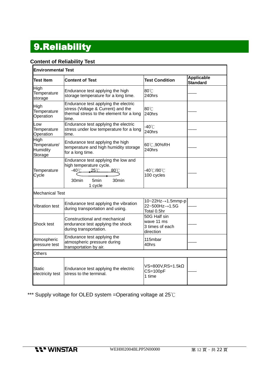## 9.Reliability 9.Reliability

### **Content of Reliability Test**

| <b>Environmental Test</b>                   |                                                                                                                                                 |                                                            |                                      |
|---------------------------------------------|-------------------------------------------------------------------------------------------------------------------------------------------------|------------------------------------------------------------|--------------------------------------|
| <b>Test Item</b>                            | <b>Content of Test</b>                                                                                                                          | <b>Test Condition</b>                                      | <b>Applicable</b><br><b>Standard</b> |
| High<br>Temperature<br>storage              | Endurance test applying the high<br>storage temperature for a long time.                                                                        | 80°C<br>$240$ hrs                                          |                                      |
| High<br>Temperature<br>Operation            | Endurance test applying the electric<br>stress (Voltage & Current) and the<br>thermal stress to the element for a long<br>time.                 | 80°C<br>240hrs                                             |                                      |
| Low<br>Temperature<br>Operation             | Endurance test applying the electric<br>stress under low temperature for a long<br>time.                                                        | $-40^{\circ}$ C<br>240hrs                                  |                                      |
| High<br>Temperature/<br>Humidity<br>Storage | Endurance test applying the high<br>temperature and high humidity storage<br>for a long time.                                                   | 60℃,90%RH<br>240hrs                                        |                                      |
| Temperature<br>Cycle                        | Endurance test applying the low and<br>high temperature cycle.<br>-40℃<br>$25^{\circ}$ C<br>$80^{\circ}$ C<br>5min<br>30min<br>30min<br>1 cycle | -40℃/80℃<br>100 cycles                                     |                                      |
| <b>Mechanical Test</b>                      |                                                                                                                                                 |                                                            |                                      |
| <b>Vibration test</b>                       | Endurance test applying the vibration<br>during transportation and using.                                                                       | 10~22Hz→1.5mmp-p<br>22~500Hz→1.5G<br>Total 0.5hr           |                                      |
| Shock test                                  | Constructional and mechanical<br>endurance test applying the shock<br>during transportation.                                                    | 50G Half sin<br>wave 11 ms<br>3 times of each<br>direction |                                      |
| Atmospheric<br>pressure test                | Endurance test applying the<br>atmospheric pressure during<br>transportation by air.                                                            | 115mbar<br>40hrs                                           |                                      |
| Others                                      |                                                                                                                                                 |                                                            |                                      |
| Static<br>electricity test                  | Endurance test applying the electric<br>stress to the terminal.                                                                                 | $VS = 800V$ , $RS = 1.5K\Omega$<br>$CS = 100pF$<br>1 time  |                                      |

\*\*\* Supply voltage for OLED system =Operating voltage at 25℃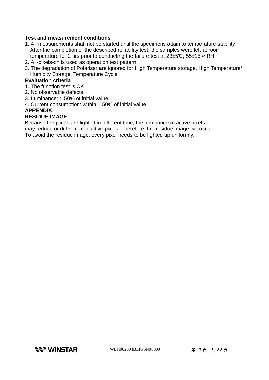#### **Test and measurement conditions**

- 1. All measurements shall not be started until the specimens attain to temperature stability. After the completion of the described reliability test, the samples were left at room temperature for 2 hrs prior to conducting the failure test at 23±5°C; 55±15% RH.
- 2. All-pixels-on is used as operation test pattern.
- 3. The degradation of Polarizer are ignored for High Temperature storage, High Temperature/ Humidity Storage, Temperature Cycle

#### **Evaluation criteria**

- 1. The function test is OK.
- 2. No observable defects.
- 3. Luminance: > 50% of initial value.
- 4. Current consumption: within  $\pm$  50% of initial value.

#### **APPENDIX:**

#### **RESIDUE IMAGE**

Because the pixels are lighted in different time, the luminance of active pixels may reduce or differ from inactive pixels. Therefore, the residue image will occur. To avoid the residue image, every pixel needs to be lighted up uniformly.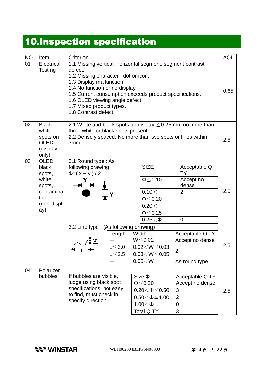## 10.Inspection specification

| <b>NO</b> | Item                                                                                        | Criterion                                                                                                                                                                                                                                                                                                                   |                                                                                                                                                                        |  |                                                                                                                       |                                                                                                    | <b>AQL</b> |  |
|-----------|---------------------------------------------------------------------------------------------|-----------------------------------------------------------------------------------------------------------------------------------------------------------------------------------------------------------------------------------------------------------------------------------------------------------------------------|------------------------------------------------------------------------------------------------------------------------------------------------------------------------|--|-----------------------------------------------------------------------------------------------------------------------|----------------------------------------------------------------------------------------------------|------------|--|
| 01        | Electrical<br>Testing                                                                       | 1.1 Missing vertical, horizontal segment, segment contrast<br>defect.<br>1.2 Missing character, dot or icon.<br>1.3 Display malfunction.<br>1.4 No function or no display.<br>1.5 Current consumption exceeds product specifications.<br>1.6 OLED viewing angle defect.<br>1.7 Mixed product types.<br>1.8 Contrast defect. |                                                                                                                                                                        |  |                                                                                                                       |                                                                                                    |            |  |
| 02        | <b>Black or</b><br>white<br>spots on<br><b>OLED</b><br>(display<br>only)                    | 3mm.                                                                                                                                                                                                                                                                                                                        | 2.1 White and black spots on display $\leq 0.25$ mm, no more than<br>three white or black spots present.<br>2.2 Densely spaced: No more than two spots or lines within |  |                                                                                                                       |                                                                                                    |            |  |
| 03        | <b>OLED</b><br>black<br>spots,<br>white<br>spots,<br>contamina<br>tion<br>(non-displ<br>ay) | 3.1 Round type: As<br>following drawing<br>$\Phi = (x + y)/2$<br>Х                                                                                                                                                                                                                                                          |                                                                                                                                                                        |  | <b>SIZE</b><br>$\Phi \leq 0.10$<br>0.10<<br>$\Phi \leq 0.20$<br>0.20<<br>$\Phi \leq 0.25$<br>$0.25<\Phi$              | Acceptable Q<br><b>TY</b><br>Accept no<br>dense<br>$\overline{2}$<br>$\mathbf 1$<br>$\overline{0}$ | 2.5        |  |
|           |                                                                                             | 3.2 Line type : (As following drawing)                                                                                                                                                                                                                                                                                      |                                                                                                                                                                        |  |                                                                                                                       |                                                                                                    |            |  |
|           |                                                                                             |                                                                                                                                                                                                                                                                                                                             | Length                                                                                                                                                                 |  | Width                                                                                                                 | Acceptable Q TY                                                                                    |            |  |
|           |                                                                                             |                                                                                                                                                                                                                                                                                                                             | $L \le 3.0$<br>$L \leq 2.5$                                                                                                                                            |  | $W \le 0.02$<br>$0.02\!<\!W\!\leq\!0.03$<br>$\overline{0.03}$ $<$ W $\leq$ 0.05                                       | Accept no dense<br>$\overline{2}$                                                                  | 2.5        |  |
|           |                                                                                             |                                                                                                                                                                                                                                                                                                                             | ---                                                                                                                                                                    |  | $0.05\!<\!W$                                                                                                          | As round type                                                                                      |            |  |
| 04        | Polarizer<br>bubbles                                                                        | If bubbles are visible,<br>judge using black spot<br>specifications, not easy<br>to find, must check in<br>specify direction.                                                                                                                                                                                               |                                                                                                                                                                        |  | $Size \Phi$<br>$\Phi \leq 0.20$<br>$0.20 < \Phi \le 0.50$<br>$0.50\!<\!\Phi\!\leq\!1.00$<br>$1.00<\Phi$<br>Total Q TY | Acceptable Q TY<br>Accept no dense<br>3<br>$\overline{2}$<br>0<br>3                                | 2.5        |  |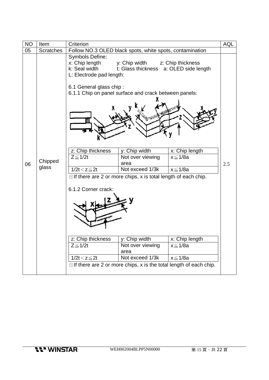| <b>NO</b> | Item                                                                      | Criterion                                                                                                                                                                                                                                                               |                                                         | <b>AQL</b>        |     |  |
|-----------|---------------------------------------------------------------------------|-------------------------------------------------------------------------------------------------------------------------------------------------------------------------------------------------------------------------------------------------------------------------|---------------------------------------------------------|-------------------|-----|--|
| 05        | <b>Scratches</b>                                                          | Follow NO.3 OLED black spots, white spots, contamination                                                                                                                                                                                                                |                                                         |                   |     |  |
|           |                                                                           | Symbols Define:<br>x: Chip length<br>k: Seal width<br>L: Electrode pad length:                                                                                                                                                                                          | y: Chip width<br>t: Glass thickness a: OLED side length | z: Chip thickness |     |  |
|           |                                                                           | 6.1 General glass chip:<br>6.1.1 Chip on panel surface and crack between panels:                                                                                                                                                                                        |                                                         |                   |     |  |
|           |                                                                           |                                                                                                                                                                                                                                                                         |                                                         |                   |     |  |
|           |                                                                           | z: Chip thickness                                                                                                                                                                                                                                                       | y: Chip width                                           | x: Chip length    |     |  |
| 06        | Chipped                                                                   | $Z \leq 1/2t$                                                                                                                                                                                                                                                           | Not over viewing<br>area                                | $x \leq 1/8a$     | 2.5 |  |
|           | glass                                                                     | $1/2t < z \leq 2t$                                                                                                                                                                                                                                                      | Not exceed 1/3k                                         | $x \leq 1/8a$     |     |  |
|           |                                                                           | $\odot$ If there are 2 or more chips, x is total length of each chip.<br>6.1.2 Corner crack:<br>z: Chip thickness<br>y: Chip width<br>x: Chip length<br>$Z \leq 1/2t$<br>Not over viewing<br>x ≤ 1/8a<br>area<br>Not exceed 1/3k<br>$1/2t < z \leq 2t$<br>$x \leq 1/8a$ |                                                         |                   |     |  |
|           | $\odot$ If there are 2 or more chips, x is the total length of each chip. |                                                                                                                                                                                                                                                                         |                                                         |                   |     |  |
|           |                                                                           |                                                                                                                                                                                                                                                                         |                                                         |                   |     |  |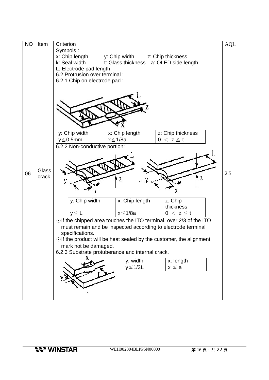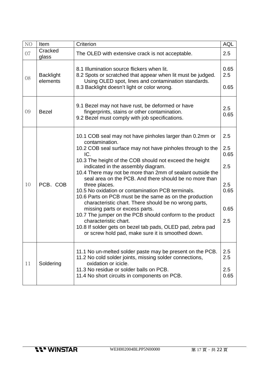| NO | Item                         | Criterion                                                                                                                                                                                                                                                                                                                                                                                                                                                                                                                                                                                                                                                                                                                                                                                                    | <b>AQL</b>                                              |
|----|------------------------------|--------------------------------------------------------------------------------------------------------------------------------------------------------------------------------------------------------------------------------------------------------------------------------------------------------------------------------------------------------------------------------------------------------------------------------------------------------------------------------------------------------------------------------------------------------------------------------------------------------------------------------------------------------------------------------------------------------------------------------------------------------------------------------------------------------------|---------------------------------------------------------|
| 07 | Cracked<br>glass             | The OLED with extensive crack is not acceptable.                                                                                                                                                                                                                                                                                                                                                                                                                                                                                                                                                                                                                                                                                                                                                             | 2.5                                                     |
| 08 | <b>Backlight</b><br>elements | 8.1 Illumination source flickers when lit.<br>8.2 Spots or scratched that appear when lit must be judged.<br>Using OLED spot, lines and contamination standards.<br>8.3 Backlight doesn't light or color wrong.                                                                                                                                                                                                                                                                                                                                                                                                                                                                                                                                                                                              | 0.65<br>2.5<br>0.65                                     |
| 09 | <b>Bezel</b>                 | 9.1 Bezel may not have rust, be deformed or have<br>fingerprints, stains or other contamination.<br>9.2 Bezel must comply with job specifications.                                                                                                                                                                                                                                                                                                                                                                                                                                                                                                                                                                                                                                                           | 2.5<br>0.65                                             |
| 10 | PCB、COB                      | 10.1 COB seal may not have pinholes larger than 0.2mm or<br>contamination.<br>10.2 COB seal surface may not have pinholes through to the<br>IC.<br>10.3 The height of the COB should not exceed the height<br>indicated in the assembly diagram.<br>10.4 There may not be more than 2mm of sealant outside the<br>seal area on the PCB. And there should be no more than<br>three places.<br>10.5 No oxidation or contamination PCB terminals.<br>10.6 Parts on PCB must be the same as on the production<br>characteristic chart. There should be no wrong parts,<br>missing parts or excess parts.<br>10.7 The jumper on the PCB should conform to the product<br>characteristic chart.<br>10.8 If solder gets on bezel tab pads, OLED pad, zebra pad<br>or screw hold pad, make sure it is smoothed down. | 2.5<br>2.5<br>0.65<br>2.5<br>2.5<br>0.65<br>0.65<br>2.5 |
| 11 | Soldering                    | 11.1 No un-melted solder paste may be present on the PCB.<br>11.2 No cold solder joints, missing solder connections,<br>oxidation or icicle.<br>11.3 No residue or solder balls on PCB.<br>11.4 No short circuits in components on PCB.                                                                                                                                                                                                                                                                                                                                                                                                                                                                                                                                                                      | 2.5<br>2.5<br>2.5<br>0.65                               |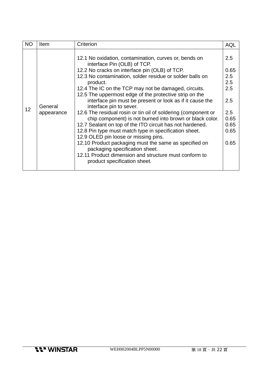| <b>NO</b> | Item                  | Criterion                                                                                                                                                                                                                                                                                                                                                                                                                                                                                                                                                                                                                                                                                                                                                                                                                                                                                            | <b>AQL</b>                                                                     |
|-----------|-----------------------|------------------------------------------------------------------------------------------------------------------------------------------------------------------------------------------------------------------------------------------------------------------------------------------------------------------------------------------------------------------------------------------------------------------------------------------------------------------------------------------------------------------------------------------------------------------------------------------------------------------------------------------------------------------------------------------------------------------------------------------------------------------------------------------------------------------------------------------------------------------------------------------------------|--------------------------------------------------------------------------------|
| 12        | General<br>appearance | 12.1 No oxidation, contamination, curves or, bends on<br>interface Pin (OLB) of TCP.<br>12.2 No cracks on interface pin (OLB) of TCP.<br>12.3 No contamination, solder residue or solder balls on<br>product.<br>12.4 The IC on the TCP may not be damaged, circuits.<br>12.5 The uppermost edge of the protective strip on the<br>interface pin must be present or look as if it cause the<br>interface pin to sever.<br>12.6 The residual rosin or tin oil of soldering (component or<br>chip component) is not burned into brown or black color.<br>12.7 Sealant on top of the ITO circuit has not hardened.<br>12.8 Pin type must match type in specification sheet.<br>12.9 OLED pin loose or missing pins.<br>12.10 Product packaging must the same as specified on<br>packaging specification sheet.<br>12.11 Product dimension and structure must conform to<br>product specification sheet. | 2.5<br>0.65<br>2.5<br>2.5<br>2.5<br>2.5<br>2.5<br>0.65<br>0.65<br>0.65<br>0.65 |
|           |                       |                                                                                                                                                                                                                                                                                                                                                                                                                                                                                                                                                                                                                                                                                                                                                                                                                                                                                                      |                                                                                |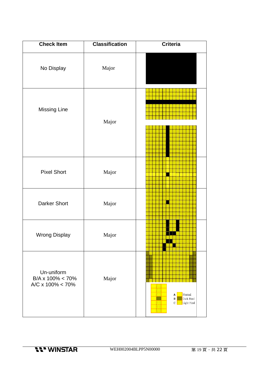| <b>Check Item</b>                                              | <b>Classification</b> | <b>Criteria</b>                                    |
|----------------------------------------------------------------|-----------------------|----------------------------------------------------|
| No Display                                                     | Major                 |                                                    |
| <b>Missing Line</b>                                            | Major                 |                                                    |
| <b>Pixel Short</b>                                             | Major                 |                                                    |
| <b>Darker Short</b>                                            | Major                 |                                                    |
| <b>Wrong Display</b>                                           | Major                 |                                                    |
| Un-uniform<br>$B/A \times 100\% < 70\%$<br>A/C x 100% < $70\%$ | Major                 | Normal<br>A<br>Dark Pixel<br>B<br>C<br>Light Pixel |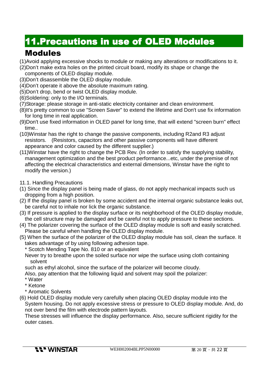### **11.Precautions in use of OLED Modules**

### Modules

- (1)Avoid applying excessive shocks to module or making any alterations or modifications to it.
- (2)Don't make extra holes on the printed circuit board, modify its shape or change the
- components of OLED display module. (3)Don't disassemble the OLED display module.
- (4)Don't operate it above the absolute maximum rating.
- (5)Don't drop, bend or twist OLED display module.
- (6)Soldering: only to the I/O terminals.
- (7)Storage: please storage in anti-static electricity container and clean environment.
- (8)It's pretty common to use "Screen Saver" to extend the lifetime and Don't use fix information for long time in real application.
- (9)Don't use fixed information in OLED panel for long time, that will extend "screen burn" effect time..
- (10)Winstar has the right to change the passive components, including R2and R3 adjust resistors. (Resistors, capacitors and other passive components will have different appearance and color caused by the different supplier.)
- (11)Winstar have the right to change the PCB Rev. (In order to satisfy the supplying stability, management optimization and the best product performance...etc, under the premise of not affecting the electrical characteristics and external dimensions, Winstar have the right to modify the version.)
- 11.1. Handling Precautions
- (1) Since the display panel is being made of glass, do not apply mechanical impacts such us dropping from a high position.
- (2) If the display panel is broken by some accident and the internal organic substance leaks out, be careful not to inhale nor lick the organic substance.
- (3) If pressure is applied to the display surface or its neighborhood of the OLED display module, the cell structure may be damaged and be careful not to apply pressure to these sections.
- (4) The polarizer covering the surface of the OLED display module is soft and easily scratched. Please be careful when handling the OLED display module.
- (5) When the surface of the polarizer of the OLED display module has soil, clean the surface. It takes advantage of by using following adhesion tape.
	- \* Scotch Mending Tape No. 810 or an equivalent
	- Never try to breathe upon the soiled surface nor wipe the surface using cloth containing solvent
	- such as ethyl alcohol, since the surface of the polarizer will become cloudy.
	- Also, pay attention that the following liquid and solvent may spoil the polarizer:
	- \* Water
	- \* Ketone
	- \* Aromatic Solvents

(6) Hold OLED display module very carefully when placing OLED display module into the System housing. Do not apply excessive stress or pressure to OLED display module. And, do not over bend the film with electrode pattern layouts.

These stresses will influence the display performance. Also, secure sufficient rigidity for the outer cases.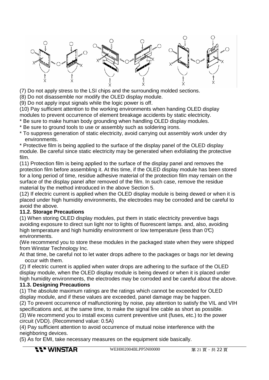

(7) Do not apply stress to the LSI chips and the surrounding molded sections.

(8) Do not disassemble nor modify the OLED display module.

(9) Do not apply input signals while the logic power is off.

(10) Pay sufficient attention to the working environments when handing OLED display modules to prevent occurrence of element breakage accidents by static electricity.

\* Be sure to make human body grounding when handling OLED display modules.

- \* Be sure to ground tools to use or assembly such as soldering irons.
- \* To suppress generation of static electricity, avoid carrying out assembly work under dry environments.

\* Protective film is being applied to the surface of the display panel of the OLED display module. Be careful since static electricity may be generated when exfoliating the protective film.

(11) Protection film is being applied to the surface of the display panel and removes the protection film before assembling it. At this time, if the OLED display module has been stored for a long period of time, residue adhesive material of the protection film may remain on the surface of the display panel after removed of the film. In such case, remove the residue material by the method introduced in the above Section 5.

(12) If electric current is applied when the OLED display module is being dewed or when it is placed under high humidity environments, the electrodes may be corroded and be careful to avoid the above.

#### **11.2. Storage Precautions**

(1) When storing OLED display modules, put them in static electricity preventive bags avoiding exposure to direct sun light nor to lights of fluorescent lamps. and, also, avoiding high temperature and high humidity environment or low temperature (less than  $0\degree$ ) environments.

(We recommend you to store these modules in the packaged state when they were shipped from Winstar Technology Inc.

At that time, be careful not to let water drops adhere to the packages or bags nor let dewing occur with them.

(2) If electric current is applied when water drops are adhering to the surface of the OLED display module, when the OLED display module is being dewed or when it is placed under high humidity environments, the electrodes may be corroded and be careful about the above. **11.3. Designing Precautions** 

(1) The absolute maximum ratings are the ratings which cannot be exceeded for OLED display module, and if these values are exceeded, panel damage may be happen.

(2) To prevent occurrence of malfunctioning by noise, pay attention to satisfy the VIL and VIH specifications and, at the same time, to make the signal line cable as short as possible.

(3) We recommend you to install excess current preventive unit (fuses, etc.) to the power circuit (VDD). (Recommend value: 0.5A)

(4) Pay sufficient attention to avoid occurrence of mutual noise interference with the neighboring devices.

(5) As for EMI, take necessary measures on the equipment side basically.